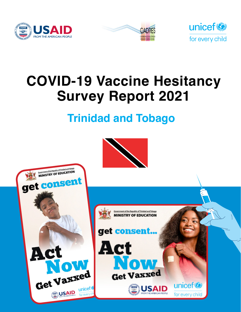





# **COVID-19 Vaccine Hesitancy Survey Report 2021**

## **Trinidad and Tobago**



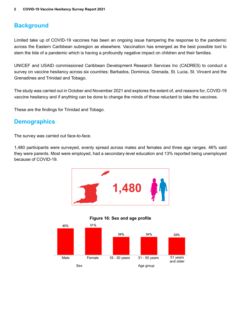## **Background**

Limited take up of COVID-19 vaccines has been an ongoing issue hampering the response to the pandemic across the Eastern Caribbean subregion as elsewhere. Vaccination has emerged as the best possible tool to stem the tide of a pandemic which is having a profoundly negative impact on children and their families.

UNICEF and USAID commissioned Caribbean Development Research Services Inc (CADRES) to conduct a survey on vaccine hesitancy across six countries: Barbados, Dominica, Grenada, St. Lucia, St. Vincent and the Grenadines and Trinidad and Tobago.

The study was carried out in October and November 2021 and explores the extent of, and reasons for, COVID-19 vaccine hesitancy and if anything can be done to change the minds of those reluctant to take the vaccines.

These are the findings for Trinidad and Tobago.

## **Demographics**

The survey was carried out face-to-face.

1,480 participants were surveyed, evenly spread across males and females and three age ranges. 46% said they were parents. Most were employed, had a secondary-level education and 13% reported being unemployed because of COVID-19.





#### **Figure 16: Sex and age profile**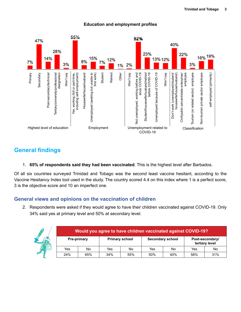

#### **Education and employment profiles**

## **General findings**

1. **65% of respondents said they had been vaccinated**. This is the highest level after Barbados.

Of all six countries surveyed Trinidad and Tobago was the second least vaccine hesitant, according to the Vaccine Hesitancy Index tool used in the study. The country scored 4.4 on this index where 1 is a perfect score, 3 is the objective score and 10 an imperfect one.

#### **General views and opinions on the vaccination of children**

2. Respondents were asked if they would agree to have their children vaccinated against COVID-19. Only 34% said yes at primary level and 50% at secondary level.

| Would you agree to have children vaccinated against COVID-19? |                    |     |                       |                         |     |     |                                   |
|---------------------------------------------------------------|--------------------|-----|-----------------------|-------------------------|-----|-----|-----------------------------------|
|                                                               | <b>Pre-primary</b> |     | <b>Primary school</b> | <b>Secondary school</b> |     |     | Post-secondary/<br>tertiary level |
| Yes                                                           | No                 | Yes | No                    | Yes                     | No  | Yes | No                                |
| 24%                                                           | 65%                | 34% | 55%                   | 50%                     | 40% | 58% | 31%                               |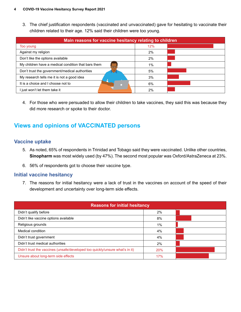3. The chief justification respondents (vaccinated and unvaccinated) gave for hesitating to vaccinate their children related to their age. 12% said their children were too young.

| Main reasons for vaccine hesitancy relating to children |     |  |  |  |
|---------------------------------------------------------|-----|--|--|--|
| Too young                                               | 12% |  |  |  |
| Against my religion                                     | 2%  |  |  |  |
| Don't like the options available                        | 2%  |  |  |  |
| My children have a medical condition that bars them     | 1%  |  |  |  |
| Don't trust the government/medical authorities          | 5%  |  |  |  |
| My research tells me it is not a good idea              | 3%  |  |  |  |
| It is a choice and I choose not to                      | 6%  |  |  |  |
| I just won't let them take it                           | 2%  |  |  |  |

4. For those who *were* persuaded to allow their children to take vaccines, they said this was because they did more research or spoke to their doctor.

## **Views and opinions of VACCINATED persons**

#### **Vaccine uptake**

- 5. As noted, 65% of respondents in Trinidad and Tobago said they were vaccinated. Unlike other countries, **Sinopharm** was most widely used (by 47%). The second most popular was Oxford/AstraZeneca at 23%.
- 6. 56% of respondents got to choose their vaccine type.

#### **Initial vaccine hesitancy**

7. The reasons for initial hesitancy were a lack of trust in the vaccines on account of the speed of their development and uncertainty over long-term side effects.

| <b>Reasons for initial hesitancy</b>                                         |       |  |  |  |
|------------------------------------------------------------------------------|-------|--|--|--|
| Didn't qualify before                                                        | 2%    |  |  |  |
| Didn't like vaccine options available                                        | 8%    |  |  |  |
| Religious grounds                                                            | $1\%$ |  |  |  |
| Medical condition                                                            | 4%    |  |  |  |
| Didn't trust government                                                      | 4%    |  |  |  |
| Didn't trust medical authorities                                             | 2%    |  |  |  |
| Didn't trust the vaccines (unsafe/developed too quickly/unsure what's in it) | 20%   |  |  |  |
| Unsure about long-term side effects                                          | 17%   |  |  |  |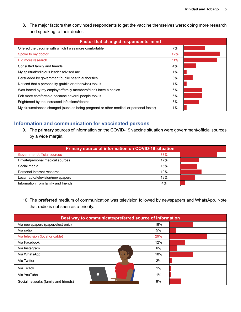8. The major factors that convinced respondents to get the vaccine themselves were: doing more research and speaking to their doctor.

| <b>Factor that changed respondents' mind</b>                                          |     |  |
|---------------------------------------------------------------------------------------|-----|--|
| Offered the vaccine with which I was more comfortable                                 | 7%  |  |
| Spoke to my doctor                                                                    | 12% |  |
| Did more research                                                                     | 11% |  |
| Consulted family and friends                                                          | 4%  |  |
| My spiritual/religious leader advised me                                              | 1%  |  |
| Persuaded by government/public health authorities                                     | 3%  |  |
| Noticed that a personality (public or otherwise) took it                              | 1%  |  |
| Was forced by my employer/family members/didn't have a choice                         | 6%  |  |
| Felt more comfortable because several people took it                                  | 6%  |  |
| Frightened by the increased infections/deaths                                         | 5%  |  |
| My circumstances changed (such as being pregnant or other medical or personal factor) | 1%  |  |

#### **Information and communication for vaccinated persons**

9. The **primary** sources of information on the COVID-19 vaccine situation were government/official sources by a wide margin.

| <b>Primary source of information on COVID-19 situation</b> |     |  |  |  |
|------------------------------------------------------------|-----|--|--|--|
| Government/official sources                                | 33% |  |  |  |
| Private/personal medical sources                           | 17% |  |  |  |
| Social media                                               | 15% |  |  |  |
| Personal internet research                                 | 19% |  |  |  |
| Local radio/television/newspapers                          | 13% |  |  |  |
| Information from family and friends                        | 4%  |  |  |  |

10. The **preferred** medium of communication was television followed by newspapers and WhatsApp. Note that radio is not seen as a priority.

| Best way to communicate/preferred source of information |       |  |  |  |
|---------------------------------------------------------|-------|--|--|--|
| Via newspapers (paper/electronic)                       | 18%   |  |  |  |
| Via radio                                               | 5%    |  |  |  |
| Via television (local or cable)                         | 29%   |  |  |  |
| Via Facebook                                            | 12%   |  |  |  |
| Via Instagram                                           | 6%    |  |  |  |
| $\bar{\sigma}$<br>Via WhatsApp                          | 18%   |  |  |  |
| Via Twitter                                             | 2%    |  |  |  |
| Via TikTok                                              | $1\%$ |  |  |  |
| Via YouTube                                             | $1\%$ |  |  |  |
| Social networks (family and friends)                    | 9%    |  |  |  |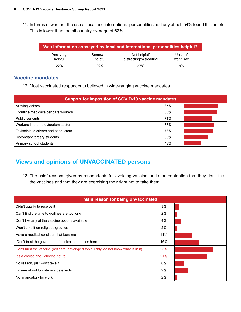11. In terms of whether the use of local and international personalities had any effect, 54% found this helpful. This is lower than the all-country average of 62%.

| Was information conveyed by local and international personalities helpful? |                     |                                        |                      |  |  |
|----------------------------------------------------------------------------|---------------------|----------------------------------------|----------------------|--|--|
| Yes, very<br>helpful                                                       | Somewhat<br>helpful | Not helpful/<br>distracting/misleading | Unsure/<br>won't say |  |  |
| 22%                                                                        | 32%                 | 37%                                    | 9%                   |  |  |

#### **Vaccine mandates**

12. Most vaccinated respondents believed in wide-ranging vaccine mandates.

| <b>Support for imposition of COVID-19 vaccine mandates</b> |     |  |  |  |
|------------------------------------------------------------|-----|--|--|--|
| Arriving visitors                                          | 85% |  |  |  |
| Frontline medical/elder care workers                       | 83% |  |  |  |
| Public servants                                            | 71% |  |  |  |
| Workers in the hotel/tourism sector                        | 77% |  |  |  |
| Taxi/minibus drivers and conductors                        | 73% |  |  |  |
| Secondary/tertiary students                                | 60% |  |  |  |
| Primary school students                                    | 43% |  |  |  |

## **Views and opinions of UNVACCINATED persons**

13. The chief reasons given by respondents for avoiding vaccination is the contention that they don't trust the vaccines and that they are exercising their right not to take them.

| Main reason for being unvaccinated                                                   |     |  |  |  |  |
|--------------------------------------------------------------------------------------|-----|--|--|--|--|
| Didn't qualify to receive it                                                         | 3%  |  |  |  |  |
| Can't find the time to go/lines are too long                                         | 2%  |  |  |  |  |
| Don't like any of the vaccine options available                                      | 4%  |  |  |  |  |
| Won't take it on religious grounds                                                   | 2%  |  |  |  |  |
| Have a medical condition that bars me                                                | 11% |  |  |  |  |
| Don't trust the government/medical authorities here                                  | 16% |  |  |  |  |
| Don't trust the vaccine (not safe, developed too quickly, do not know what is in it) | 25% |  |  |  |  |
| It's a choice and I choose not to                                                    | 21% |  |  |  |  |
| No reason, just won't take it                                                        | 6%  |  |  |  |  |
| Unsure about long-term side effects                                                  | 9%  |  |  |  |  |
| Not mandatory for work                                                               | 2%  |  |  |  |  |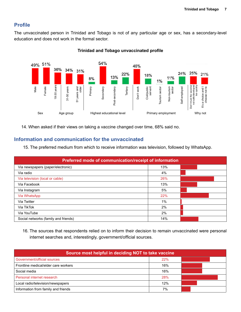#### **Profile**

The unvaccinated person in Trinidad and Tobago is not of any particular age or sex, has a secondary-level education and does not work in the formal sector.



#### **Trinidad and Tobago unvaccinated profile**

14. When asked if their views on taking a vaccine changed over time, 68% said no.

#### **Information and communication for the unvaccinated**

15. The preferred medium from which to receive information was television, followed by WhatsApp.

| Preferred mode of communication/receipt of information |       |  |  |  |
|--------------------------------------------------------|-------|--|--|--|
| Via newspapers (paper/electronic)                      | 13%   |  |  |  |
| Via radio                                              | 4%    |  |  |  |
| Via television (local or cable)                        | 26%   |  |  |  |
| Via Facebook                                           | 13%   |  |  |  |
| Via Instagram                                          | 5%    |  |  |  |
| Via WhatsApp                                           | 22%   |  |  |  |
| Via Twitter                                            | $1\%$ |  |  |  |
| Via TikTok                                             | 2%    |  |  |  |
| Via YouTube                                            | 2%    |  |  |  |
| Social networks (family and friends)                   | 14%   |  |  |  |

16. The sources that respondents relied on to inform their decision to remain unvaccinated were personal internet searches and, interestingly, government/official sources.

| Source most helpful in deciding NOT to take vaccine |            |  |  |  |
|-----------------------------------------------------|------------|--|--|--|
| Government/official sources                         | 22%        |  |  |  |
| Frontline medical/elder care workers                | 16%        |  |  |  |
| Social media                                        | 16%        |  |  |  |
| Personal internet research                          | <b>28%</b> |  |  |  |
| Local radio/television/newspapers                   | 12%        |  |  |  |
| Information from family and friends                 | 7%         |  |  |  |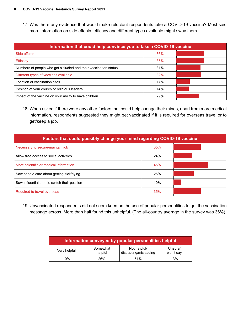17. Was there any evidence that would make reluctant respondents take a COVID-19 vaccine? Most said more information on side effects, efficacy and different types available might sway them.

| Information that could help convince you to take a COVID-19 vaccine |     |  |  |  |
|---------------------------------------------------------------------|-----|--|--|--|
| Side effects                                                        | 36% |  |  |  |
| <b>Efficacy</b>                                                     | 35% |  |  |  |
| Numbers of people who got sick/died and their vaccination status    | 31% |  |  |  |
| Different types of vaccines available                               | 32% |  |  |  |
| Location of vaccination sites                                       | 17% |  |  |  |
| Position of your church or religious leaders                        | 14% |  |  |  |
| Impact of the vaccine on your ability to have children              | 29% |  |  |  |

18. When asked if there were any other factors that could help change their minds, apart from more medical information, respondents suggested they might get vaccinated if it is required for overseas travel or to get/keep a job.

| Factors that could possibly change your mind regarding COVID-19 vaccine |     |  |  |  |
|-------------------------------------------------------------------------|-----|--|--|--|
| Necessary to secure/maintain job                                        | 35% |  |  |  |
| Allow free access to social activities                                  | 24% |  |  |  |
| More scientific or medical information                                  | 45% |  |  |  |
| Saw people care about getting sick/dying                                | 26% |  |  |  |
| Saw influential people switch their position                            | 10% |  |  |  |
| Required to travel overseas                                             | 35% |  |  |  |

19. Unvaccinated respondents did not seem keen on the use of popular personalities to get the vaccination message across. More than half found this unhelpful. (The all-country average in the survey was 36%).

| Information conveyed by popular personalities helpful |                     |                                        |                      |  |
|-------------------------------------------------------|---------------------|----------------------------------------|----------------------|--|
| Very helpful                                          | Somewhat<br>helpful | Not helpful/<br>distracting/misleading | Unsure/<br>won't say |  |
| 10%                                                   | 26%                 | 51%                                    | 13%                  |  |